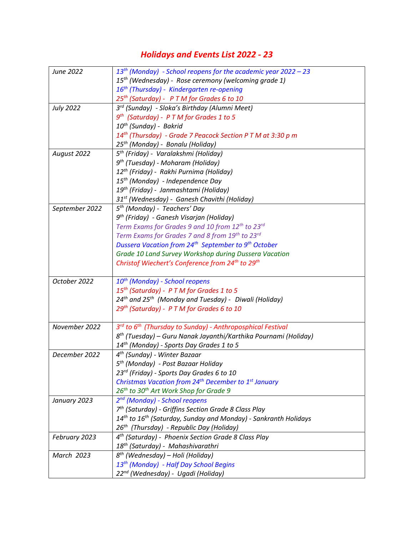## Holidays and Events List 2022 - 23

| June 2022        | $13th$ (Monday) - School reopens for the academic year 2022 – 23              |
|------------------|-------------------------------------------------------------------------------|
|                  | 15 <sup>th</sup> (Wednesday) - Rose ceremony (welcoming grade 1)              |
|                  | 16 <sup>th</sup> (Thursday) - Kindergarten re-opening                         |
|                  | 25 <sup>th</sup> (Saturday) - P T M for Grades 6 to 10                        |
| <b>July 2022</b> | 3 <sup>rd</sup> (Sunday) - Sloka's Birthday (Alumni Meet)                     |
|                  | $9th$ (Saturday) - P T M for Grades 1 to 5                                    |
|                  | 10 <sup>th</sup> (Sunday) - Bakrid                                            |
|                  |                                                                               |
|                  | $14^{th}$ (Thursday) - Grade 7 Peacock Section P T M at 3:30 p m              |
|                  | 25 <sup>th</sup> (Monday) - Bonalu (Holiday)                                  |
| August 2022      | 5 <sup>th</sup> (Friday) - Varalakshmi (Holiday)                              |
|                  | 9 <sup>th</sup> (Tuesday) - Moharam (Holiday)                                 |
|                  | 12 <sup>th</sup> (Friday) - Rakhi Purnima (Holiday)                           |
|                  | 15 <sup>th</sup> (Monday) - Independence Day                                  |
|                  | 19 <sup>th</sup> (Friday) - Janmashtami (Holiday)                             |
|                  | 31 <sup>st</sup> (Wednesday) - Ganesh Chavithi (Holiday)                      |
| September 2022   | 5 <sup>th</sup> (Monday) - Teachers' Day                                      |
|                  | 9 <sup>th</sup> (Friday) - Ganesh Visarjan (Holiday)                          |
|                  | Term Exams for Grades 9 and 10 from 12th to 23rd                              |
|                  | Term Exams for Grades 7 and 8 from 19th to 23rd                               |
|                  | Dussera Vacation from 24 <sup>th</sup> September to 9 <sup>th</sup> October   |
|                  | Grade 10 Land Survey Workshop during Dussera Vacation                         |
|                  | Christof Wiechert's Conference from 24 <sup>th</sup> to 29 <sup>th</sup>      |
|                  |                                                                               |
| October 2022     | 10 <sup>th</sup> (Monday) - School reopens                                    |
|                  | 15 <sup>th</sup> (Saturday) - P T M for Grades 1 to 5                         |
|                  | 24 <sup>th</sup> and 25 <sup>th</sup> (Monday and Tuesday) - Diwali (Holiday) |
|                  | 29 <sup>th</sup> (Saturday) - P T M for Grades 6 to 10                        |
|                  |                                                                               |
| November 2022    | 3rd to 6 <sup>th</sup> (Thursday to Sunday) - Anthroposphical Festival        |
|                  | 8 <sup>th</sup> (Tuesday) – Guru Nanak Jayanthi/Karthika Pournami (Holiday)   |
|                  | 14 <sup>th</sup> (Monday) - Sports Day Grades 1 to 5                          |
| December 2022    | 4 <sup>th</sup> (Sunday) - Winter Bazaar                                      |
|                  | 5 <sup>th</sup> (Monday) - Post Bazaar Holiday                                |
|                  | 23rd (Friday) - Sports Day Grades 6 to 10                                     |
|                  | Christmas Vacation from 24 <sup>th</sup> December to 1 <sup>st</sup> January  |
|                  | 26 <sup>th</sup> to 30 <sup>th</sup> Art Work Shop for Grade 9                |
| January 2023     | 2 <sup>nd</sup> (Monday) - School reopens                                     |
|                  | 7 <sup>th</sup> (Saturday) - Griffins Section Grade 8 Class Play              |
|                  | $14^{th}$ to $16^{th}$ (Saturday, Sunday and Monday) - Sankranth Holidays     |
|                  | 26 <sup>th</sup> (Thursday) - Republic Day (Holiday)                          |
| February 2023    | 4 <sup>th</sup> (Saturday) - Phoenix Section Grade 8 Class Play               |
|                  | 18 <sup>th</sup> (Saturday) - Mahashivarathri                                 |
| March 2023       | $8^{th}$ (Wednesday) – Holi (Holiday)                                         |
|                  | 13 <sup>th</sup> (Monday) - Half Day School Begins                            |
|                  | 22 <sup>nd</sup> (Wednesday) - Ugadi (Holiday)                                |
|                  |                                                                               |